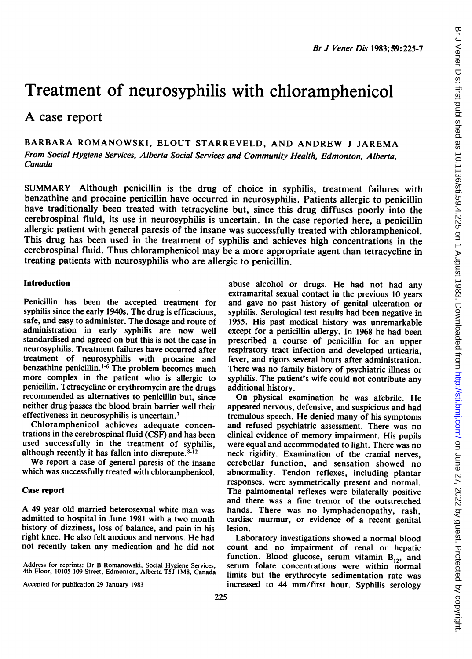# Treatment of neurosyphilis with chloramphenicol

A case report

BARBARA ROMANOWSKI, ELOUT STARREVELD, AND ANDREW <sup>J</sup> JAREMA From Social Hygiene Services, Alberta Social Services and Community Health, Edmonton, Alberta, Canada

SUMMARY Although penicillin is the drug of choice in syphilis, treatment failures with benzathine and procaine penicillin have occurred in neurosyphilis. Patients allergic to penicillin have traditionally been treated with tetracycline but, since this drug diffuses poorly into the cerebrospinal fluid, its use in neurosyphilis is uncertain. In the case reported here, a penicillin allergic patient with general paresis of the insane was successfully treated with chloramphenicol. This drug has been used in the treatment of syphilis and achieves high concentrations in the cerebrospinal fluid. Thus chloramphenicol may be a more appropriate agent than tetracycline in treating patients with neurosyphilis who are allergic to penicillin.

## Introduction

Penicillin has been the accepted treatment for syphilis since the early 1940s. The drug is efficacious, safe, and easy to administer. The dosage and route of administration in early syphilis are now well standardised and agreed on but this is not the case in neurosyphilis. Treatment failures have occurred after treatment of neurosyphilis with procaine and benzathine penicillin.1-6 The problem becomes much more complex in the patient who is allergic to penicillin. Tetracycline or erythromycin are the drugs recommended as alternatives to penicillin but, since neither drug passes the blood brain barrier well their effectiveness in neurosyphilis is uncertain.7

Chloramphenicol achieves adequate concentrations in the cerebrospinal fluid (CSF) and has been used successfully in the treatment of syphilis, although recently it has fallen into disrepute. $8-12$ 

We report <sup>a</sup> case of general paresis of the insane which was successfully treated with chloramphenicol.

# Case report

A <sup>49</sup> year old married heterosexual white man was admitted to hospital in June 1981 with a two month history of dizziness, loss of balance, and pain in his right knee. He also felt anxious and nervous. He had not recently taken any medication and he did not

Address for reprints: Dr B Romanowski, Social Hygiene Services, 4th Floor, 10105-109 Street, Edmonton, Alberta T5J 1M8, Canada

Accepted for publication 29 January 1983

abuse alcohol or drugs. He had not had any extramarital sexual contact in the previous 10 years and gave no past history of genital ulceration or syphilis. Serological test results had been negative in 1955. His past medical history was unremarkable except for a penicillin allergy. In 1968 he had been prescribed a course of penicillin for an upper respiratory tract infection and developed urticaria, fever, and rigors several hours after administration. There was no family history of psychiatric illness or syphilis. The patient's wife could not contribute any additional history.

On physical examination he was afebrile. He appeared nervous, defensive, and suspicious and had tremulous speech. He denied many of his symptoms and refused psychiatric assessment. There was no clinical evidence of memory impairment. His pupils were equal and accommodated to light. There was no neck rigidity. Examination of the cranial nerves, cerebellar function, and sensation showed no abnormality. Tendon reflexes, including plantar responses, were symmetrically present and normal. The palmomental reflexes were bilaterally positive and there was a fine tremor of the outstretched hands. There was no lymphadenopathy, rash, cardiac murmur, or evidence of a recent genital lesion.

Laboratory investigations showed a normal blood count and no impairment of renal or hepatic function. Blood glucose, serum vitamin  $B_{12}$ , and serum folate concentrations were within normal limits but the erythrocyte sedimentation rate was increased to 44 mm/first hour. Syphilis serology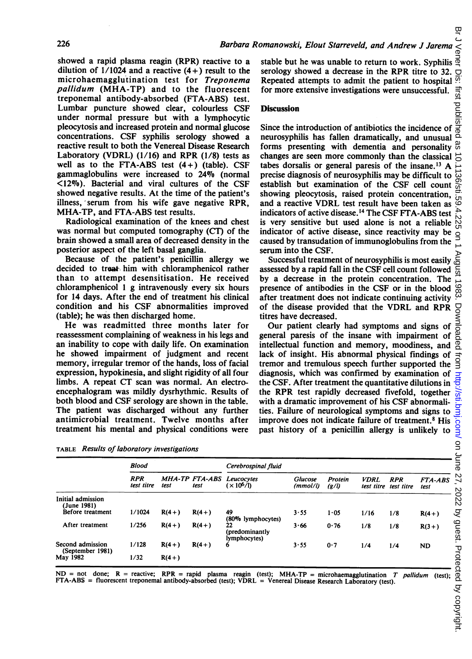showed a rapid plasma reagin (RPR) reactive to a dilution of  $1/1024$  and a reactive  $(4+)$  result to the microhaemagglutination test for Treponema pallidum (MHA-TP) and to the fluorescent treponemal antibody-absorbed (FTA-ABS) test. Lumbar puncture showed clear, colourless CSF under normal pressure but with a lymphocytic pleocytosis and increased protein and normal glucose concentrations. CSF syphilis serology showed a reactive result to both the Venereal Disease Research Laboratory (VDRL) (1/16) and RPR (1/8) tests as well as to the FTA-ABS test  $(4+)$  (table). CSF gammaglobulins were increased to 24% (normal <12%). Bacterial and viral cultures of the CSF showed negative results. At the time of the patient's illness, serum from his wife gave negative RPR, MHA-TP, and FTA-ABS test results.

Radiological examination of the knees and chest was normal but computed tomography (CT) of the brain showed a small area of decreased density in the posterior aspect of the left basal ganglia.

Because of the patient's penicillin allergy we decided to treat him with chloramphenicol rather than to attempt desensitisation. He received chloramphenicol <sup>1</sup> g intravenously every six hours for 14 days. After the end of treatment his clinical condition and his CSF abnormalities improved (table); he was then discharged home.

He was readmitted three months later for reassessment complaining of weakness in his legs and an inability to cope with daily life. On examination he showed impairment of judgment and recent memory, irregular tremor of the hands, loss of facial expression, hypokinesia, and slight rigidity of all four limbs. A repeat CT scan was normal. An electroencephalogram was mildly dysrhythmic. Results of both blood and CSF serology are shown in the table. The patient was discharged without any further antimicrobial treatment. Twelve months after treatment his mental and physical conditions were

stable but he was unable to return to work. Syphilis  $\overline{\Phi}$ serology showed <sup>a</sup> decrease in the RPR titre to 32. Repeated attempts to admit the patient to hospital for more extensive investigations were unsuccessful.

### Discussion

on Juner Dis: htst published as 10.1136/sti.59.4.225 on 1 August 1983. Downloaded from Dithtp://sti.bmj.com/ Br Zr. 2022 by guest. Protected by copyright. Since the introduction of antibiotics the incidence of neurosyphilis has fallen dramatically, and unusual စ္တ forms presenting with dementia and personality changes are seen more commonly than the classical tabes dorsalis or general paresis of the insane.13 A precise diagnosis of neurosyphilis may be difficult to **136/st** establish but examination of the CSF cell count showing pleocytosis, raised protein concentration, and <sup>a</sup> reactive VDRL test result have been taken as indicators of active disease. <sup>14</sup> The CSF FTA-ABS test is very sensitive but used alone is not a reliable indicator of active disease, since reactivity may be  $\overline{a}$ caused by transudation of immunoglobulins from the serum into the CSF.

Successful treatment of neurosyphilis is most easily assessed by a rapid fall in the CSF cell count followed မ္မ by a decrease in the protein concentration. The 1983. presence of antibodies in the CSF or in the blood after treatment does not indicate continuing activity Dow of the disease provided that the VDRL and RPR titres have decreased.

mloaded Our patient clearly had symptoms and signs of general paresis of the insane with impairment of intellectual function and memory, moodiness, and lack of insight. His abnormal physical findings of from tremor and tremulous speech further supported the diagnosis, which was confirmed by examination of  $H$ the CSF. After treatment the quantitative dilutions in the RPR test rapidly decreased fivefold, together  $\frac{1}{2}$ with a dramatic improvement of his CSF abnormali- $\overline{\mathsf{B}}$ ties. Failure of neurological symptoms and signs to improve does not indicate failure of treatment.8 His past history of a penicillin allergy is unlikely to

TABLE Results of laboratory investigations

|                                      | <b>Blood</b>             |         |                               | Cerebrospinal fluid                                       |                     |                  |                           |                          |                        |
|--------------------------------------|--------------------------|---------|-------------------------------|-----------------------------------------------------------|---------------------|------------------|---------------------------|--------------------------|------------------------|
|                                      | <b>RPR</b><br>test titre | test    | <b>MHA-TP FTA-ABS</b><br>test | Leucocytes<br>(x 10 <sup>6</sup> /I)                      | Glucose<br>(mmol/l) | Protein<br>(g/l) | <b>VDRL</b><br>test titre | <b>RPR</b><br>test titre | <b>FTA-ABS</b><br>test |
| Initial admission<br>(June 1981)     |                          |         |                               |                                                           |                     |                  |                           |                          |                        |
| Before treatment                     | 1/1024                   | $R(4+)$ | $R(4+)$                       | 49                                                        | 3.55                | 1.05             | 1/16                      | 1/8                      | $R(4+)$                |
| After treatment                      | 1/256                    | $R(4+)$ | $R(4+)$                       | (80% lymphocytes)<br>22<br>(predominantly<br>lymphocytes) | 3.66                | 0.76             | 1/8                       | 1/8                      | $R(3+)$                |
| Second admission<br>(September 1981) | 1/128                    | $R(4+)$ | $R(4+)$                       |                                                           | 3.55                | 0.7              | 1/4                       | 1/4                      | ND                     |
| May 1982                             | 1/32                     | $R(4+)$ |                               |                                                           |                     |                  |                           |                          |                        |